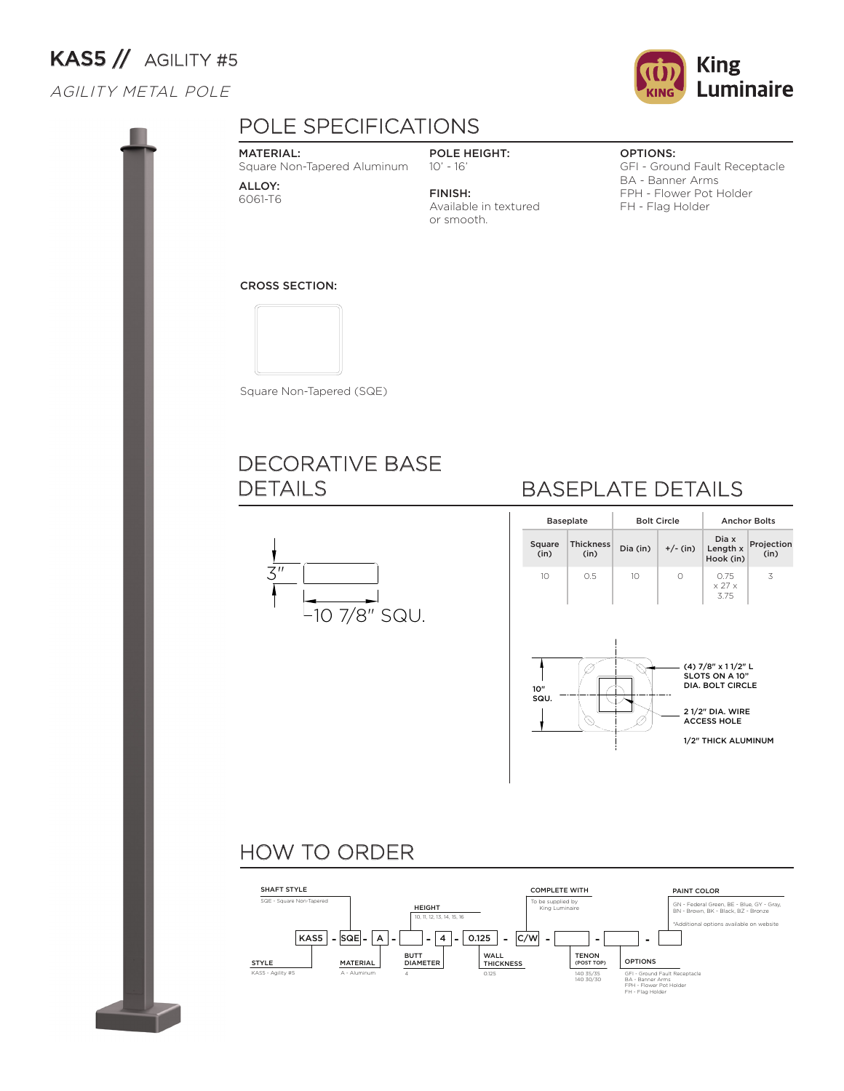# KAS5 // AGILITY #5

#### AGILITY METAL POLE



Available in textured

POLE HEIGHT: 10' - 16' FINISH:

or smooth.



#### OPTIONS:

GFI - Ground Fault Receptacle BA - Banner Arms FPH - Flower Pot Holder FH - Flag Holder

#### CROSS SECTION:

MATERIAL:

ALLOY: 6061-T6



Square Non-Tapered (SQE)

Square Non-Tapered Aluminum

## DECORATIVE BASE DETAILS KAS5



## BASEPLATE DETAILS

|                | <b>Baseplate</b>         |          | <b>Bolt Circle</b> | <b>Anchor Bolts</b>                                                                                                             |                    |  |  |
|----------------|--------------------------|----------|--------------------|---------------------------------------------------------------------------------------------------------------------------------|--------------------|--|--|
| Square<br>(in) | <b>Thickness</b><br>(in) | Dia (in) | $+/-$ (in)         | Dia x<br>Length x<br>Hook (in)                                                                                                  | Projection<br>(in) |  |  |
| 10             | 0.5                      | 10       | 0                  | 0.75<br>$\times$ 27 $\times$<br>3.75                                                                                            | 3                  |  |  |
| 10"<br>SQU.    |                          |          |                    | (4) 7/8" x 11/2" L<br>SLOTS ON A 10"<br><b>DIA. BOLT CIRCLE</b><br>21/2" DIA. WIRE<br><b>ACCESS HOLE</b><br>1/2" THICK ALUMINUM |                    |  |  |

## HOW TO ORDER